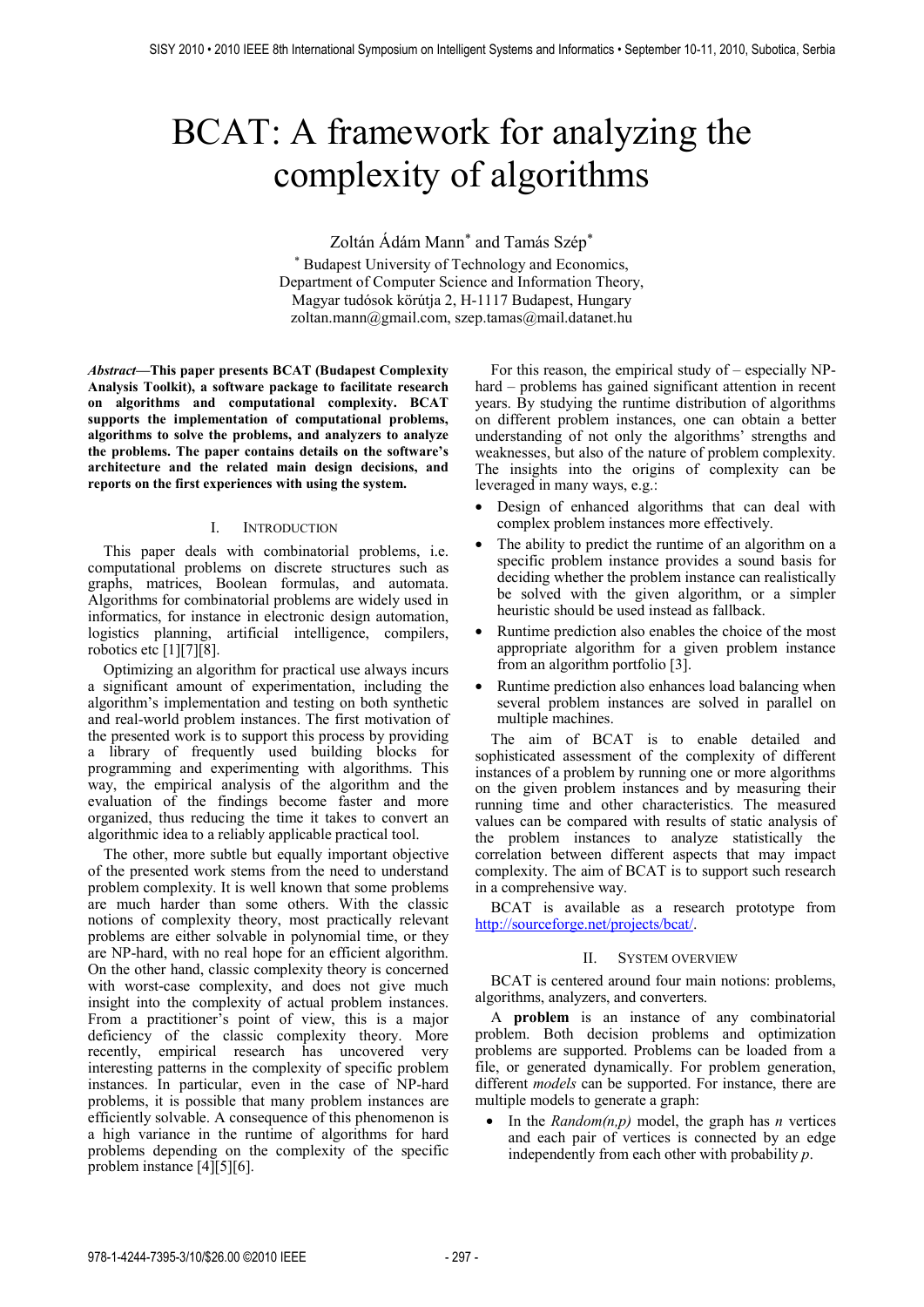# BCAT: A framework for analyzing the complexity of algorithms

Zoltán Ádám Mann\* and Tamás Szép\*

\* Budapest University of Technology and Economics, Department of Computer Science and Information Theory, Magyar tudósok körútja 2, H-1117 Budapest, Hungary zoltan.mann@gmail.com, szep.tamas@mail.datanet.hu

*Abstract***—This paper presents BCAT (Budapest Complexity Analysis Toolkit), a software package to facilitate research on algorithms and computational complexity. BCAT supports the implementation of computational problems, algorithms to solve the problems, and analyzers to analyze the problems. The paper contains details on the software's architecture and the related main design decisions, and reports on the first experiences with using the system.** 

## I. INTRODUCTION

This paper deals with combinatorial problems, i.e. computational problems on discrete structures such as graphs, matrices, Boolean formulas, and automata. Algorithms for combinatorial problems are widely used in informatics, for instance in electronic design automation, logistics planning, artificial intelligence, compilers, robotics etc [1][7][8].

Optimizing an algorithm for practical use always incurs a significant amount of experimentation, including the algorithm's implementation and testing on both synthetic and real-world problem instances. The first motivation of the presented work is to support this process by providing a library of frequently used building blocks for programming and experimenting with algorithms. This way, the empirical analysis of the algorithm and the evaluation of the findings become faster and more organized, thus reducing the time it takes to convert an algorithmic idea to a reliably applicable practical tool.

The other, more subtle but equally important objective of the presented work stems from the need to understand problem complexity. It is well known that some problems are much harder than some others. With the classic notions of complexity theory, most practically relevant problems are either solvable in polynomial time, or they are NP-hard, with no real hope for an efficient algorithm. On the other hand, classic complexity theory is concerned with worst-case complexity, and does not give much insight into the complexity of actual problem instances. From a practitioner's point of view, this is a major deficiency of the classic complexity theory. More recently, empirical research has uncovered very interesting patterns in the complexity of specific problem instances. In particular, even in the case of NP-hard problems, it is possible that many problem instances are efficiently solvable. A consequence of this phenomenon is a high variance in the runtime of algorithms for hard problems depending on the complexity of the specific problem instance [4][5][6].

For this reason, the empirical study of – especially NPhard – problems has gained significant attention in recent years. By studying the runtime distribution of algorithms on different problem instances, one can obtain a better understanding of not only the algorithms' strengths and weaknesses, but also of the nature of problem complexity. The insights into the origins of complexity can be leveraged in many ways, e.g.:

- Design of enhanced algorithms that can deal with complex problem instances more effectively.
- The ability to predict the runtime of an algorithm on a specific problem instance provides a sound basis for deciding whether the problem instance can realistically be solved with the given algorithm, or a simpler heuristic should be used instead as fallback.
- Runtime prediction also enables the choice of the most appropriate algorithm for a given problem instance from an algorithm portfolio [3].
- Runtime prediction also enhances load balancing when several problem instances are solved in parallel on multiple machines.

The aim of BCAT is to enable detailed and sophisticated assessment of the complexity of different instances of a problem by running one or more algorithms on the given problem instances and by measuring their running time and other characteristics. The measured values can be compared with results of static analysis of the problem instances to analyze statistically the correlation between different aspects that may impact complexity. The aim of BCAT is to support such research in a comprehensive way.

BCAT is available as a research prototype from http://sourceforge.net/projects/bcat/.

## II. SYSTEM OVERVIEW

BCAT is centered around four main notions: problems, algorithms, analyzers, and converters.

A **problem** is an instance of any combinatorial problem. Both decision problems and optimization problems are supported. Problems can be loaded from a file, or generated dynamically. For problem generation, different *models* can be supported. For instance, there are multiple models to generate a graph:

In the  $Random(n,p)$  model, the graph has *n* vertices and each pair of vertices is connected by an edge independently from each other with probability *p*.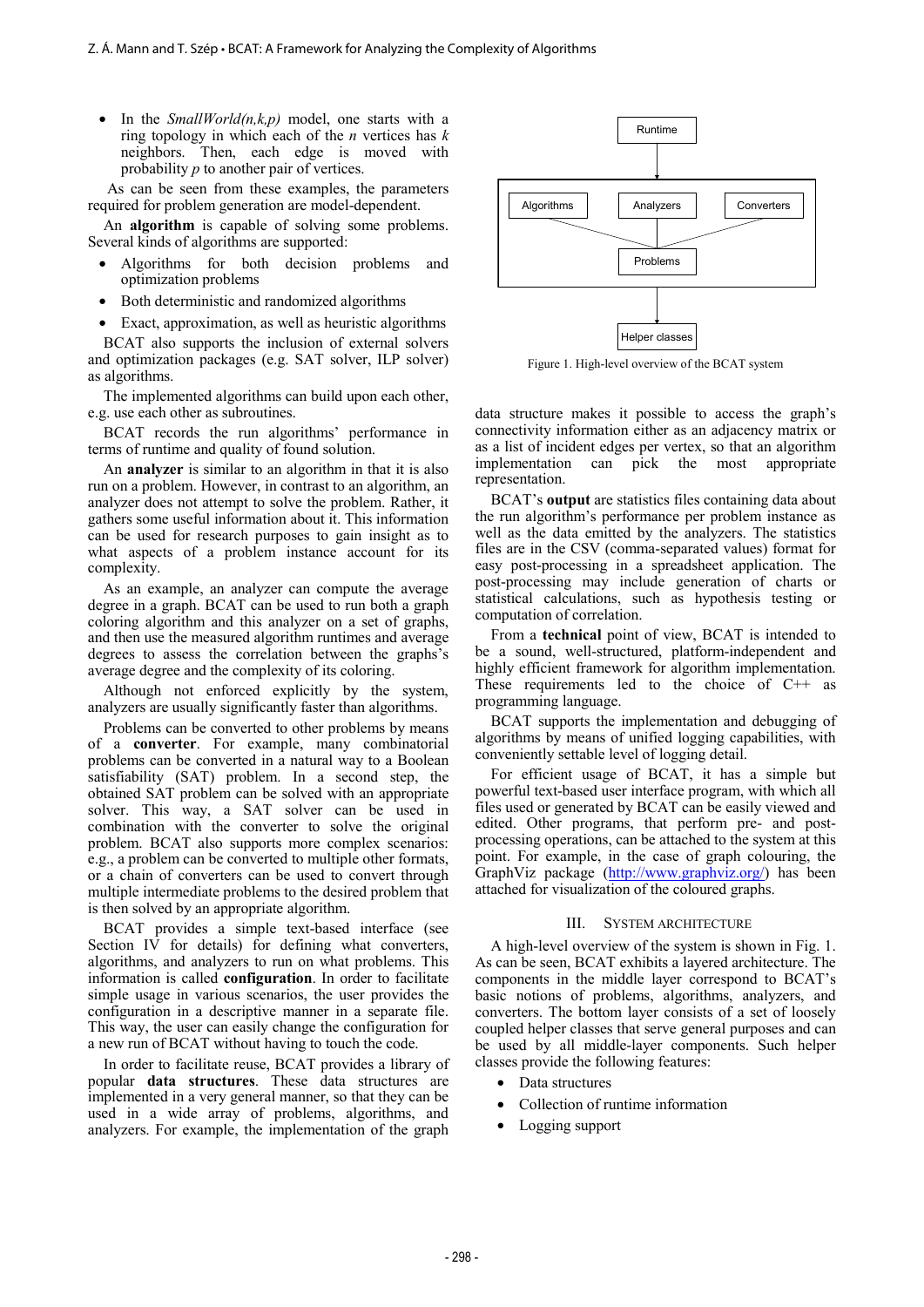• In the *SmallWorld(n,k,p)* model, one starts with a ring topology in which each of the *n* vertices has *k* neighbors. Then, each edge is moved with probability *p* to another pair of vertices.

 As can be seen from these examples, the parameters required for problem generation are model-dependent.

An **algorithm** is capable of solving some problems. Several kinds of algorithms are supported:

- Algorithms for both decision problems and optimization problems
- Both deterministic and randomized algorithms
- Exact, approximation, as well as heuristic algorithms

BCAT also supports the inclusion of external solvers and optimization packages (e.g. SAT solver, ILP solver) as algorithms.

The implemented algorithms can build upon each other, e.g. use each other as subroutines.

BCAT records the run algorithms' performance in terms of runtime and quality of found solution.

An **analyzer** is similar to an algorithm in that it is also run on a problem. However, in contrast to an algorithm, an analyzer does not attempt to solve the problem. Rather, it gathers some useful information about it. This information can be used for research purposes to gain insight as to what aspects of a problem instance account for its complexity.

As an example, an analyzer can compute the average degree in a graph. BCAT can be used to run both a graph coloring algorithm and this analyzer on a set of graphs, and then use the measured algorithm runtimes and average degrees to assess the correlation between the graphs's average degree and the complexity of its coloring.

Although not enforced explicitly by the system, analyzers are usually significantly faster than algorithms.

Problems can be converted to other problems by means of a **converter**. For example, many combinatorial problems can be converted in a natural way to a Boolean satisfiability (SAT) problem. In a second step, the obtained SAT problem can be solved with an appropriate solver. This way, a SAT solver can be used in combination with the converter to solve the original problem. BCAT also supports more complex scenarios: e.g., a problem can be converted to multiple other formats, or a chain of converters can be used to convert through multiple intermediate problems to the desired problem that is then solved by an appropriate algorithm.

BCAT provides a simple text-based interface (see Section IV for details) for defining what converters, algorithms, and analyzers to run on what problems. This information is called **configuration**. In order to facilitate simple usage in various scenarios, the user provides the configuration in a descriptive manner in a separate file. This way, the user can easily change the configuration for a new run of BCAT without having to touch the code.

In order to facilitate reuse, BCAT provides a library of popular **data structures**. These data structures are implemented in a very general manner, so that they can be used in a wide array of problems, algorithms, and analyzers. For example, the implementation of the graph



Figure 1. High-level overview of the BCAT system

data structure makes it possible to access the graph's connectivity information either as an adjacency matrix or as a list of incident edges per vertex, so that an algorithm implementation can pick the most appropriate representation.

BCAT's **output** are statistics files containing data about the run algorithm's performance per problem instance as well as the data emitted by the analyzers. The statistics files are in the CSV (comma-separated values) format for easy post-processing in a spreadsheet application. The post-processing may include generation of charts or statistical calculations, such as hypothesis testing or computation of correlation.

From a **technical** point of view, BCAT is intended to be a sound, well-structured, platform-independent and highly efficient framework for algorithm implementation. These requirements led to the choice of C++ as programming language.

BCAT supports the implementation and debugging of algorithms by means of unified logging capabilities, with conveniently settable level of logging detail.

For efficient usage of BCAT, it has a simple but powerful text-based user interface program, with which all files used or generated by BCAT can be easily viewed and edited. Other programs, that perform pre- and postprocessing operations, can be attached to the system at this point. For example, in the case of graph colouring, the GraphViz package (http://www.graphviz.org/) has been attached for visualization of the coloured graphs.

## III. SYSTEM ARCHITECTURE

A high-level overview of the system is shown in Fig. 1. As can be seen, BCAT exhibits a layered architecture. The components in the middle layer correspond to BCAT's basic notions of problems, algorithms, analyzers, and converters. The bottom layer consists of a set of loosely coupled helper classes that serve general purposes and can be used by all middle-layer components. Such helper classes provide the following features:

- Data structures
- Collection of runtime information
- Logging support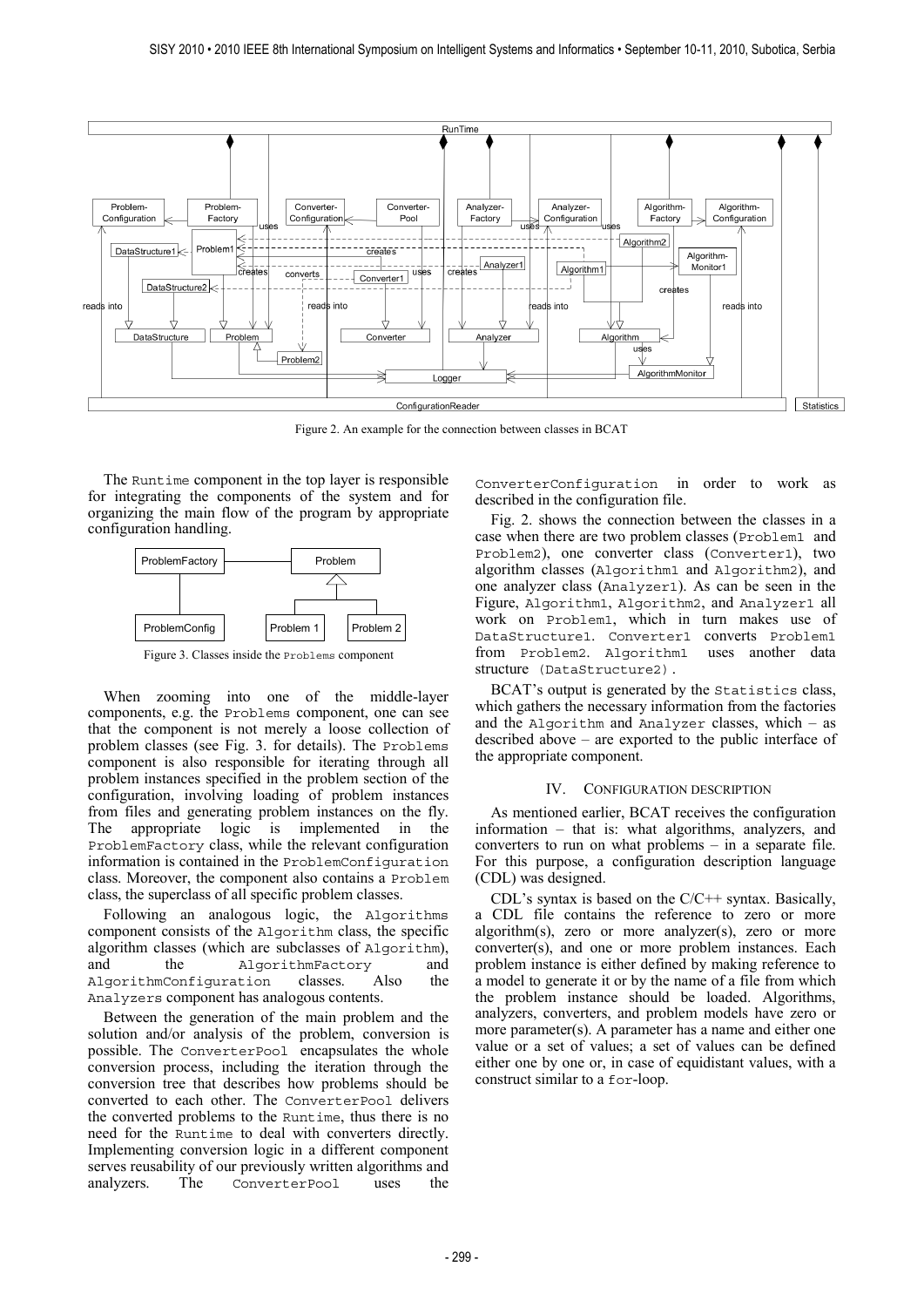

Figure 2. An example for the connection between classes in BCAT

The Runtime component in the top layer is responsible for integrating the components of the system and for organizing the main flow of the program by appropriate configuration handling.



Figure 3. Classes inside the Problems component

When zooming into one of the middle-layer components, e.g. the Problems component, one can see that the component is not merely a loose collection of problem classes (see Fig. 3. for details). The Problems component is also responsible for iterating through all problem instances specified in the problem section of the configuration, involving loading of problem instances from files and generating problem instances on the fly. The appropriate logic is implemented in the ProblemFactory class, while the relevant configuration information is contained in the ProblemConfiguration class. Moreover, the component also contains a Problem class, the superclass of all specific problem classes.

Following an analogous logic, the Algorithms component consists of the Algorithm class, the specific algorithm classes (which are subclasses of Algorithm), and the AlgorithmFactory and AlgorithmConfiguration classes. Also the Analyzers component has analogous contents.

Between the generation of the main problem and the solution and/or analysis of the problem, conversion is possible. The ConverterPool encapsulates the whole conversion process, including the iteration through the conversion tree that describes how problems should be converted to each other. The ConverterPool delivers the converted problems to the Runtime, thus there is no need for the Runtime to deal with converters directly. Implementing conversion logic in a different component serves reusability of our previously written algorithms and analyzers. The ConverterPool uses the

ConverterConfiguration in order to work as described in the configuration file.

Fig. 2. shows the connection between the classes in a case when there are two problem classes (Problem1 and Problem2), one converter class (Converter1), two algorithm classes (Algorithm1 and Algorithm2), and one analyzer class (Analyzer1). As can be seen in the Figure, Algorithm1, Algorithm2, and Analyzer1 all work on Problem1, which in turn makes use of DataStructure1. Converter1 converts Problem1 from Problem2. Algorithm1 uses another data structure (DataStructure2).

BCAT's output is generated by the Statistics class, which gathers the necessary information from the factories and the Algorithm and Analyzer classes, which – as described above – are exported to the public interface of the appropriate component.

#### IV. CONFIGURATION DESCRIPTION

As mentioned earlier, BCAT receives the configuration information – that is: what algorithms, analyzers, and converters to run on what problems – in a separate file. For this purpose, a configuration description language (CDL) was designed.

CDL's syntax is based on the  $C/C++$  syntax. Basically, a CDL file contains the reference to zero or more algorithm(s), zero or more analyzer(s), zero or more converter(s), and one or more problem instances. Each problem instance is either defined by making reference to a model to generate it or by the name of a file from which the problem instance should be loaded. Algorithms, analyzers, converters, and problem models have zero or more parameter(s). A parameter has a name and either one value or a set of values; a set of values can be defined either one by one or, in case of equidistant values, with a construct similar to a for-loop.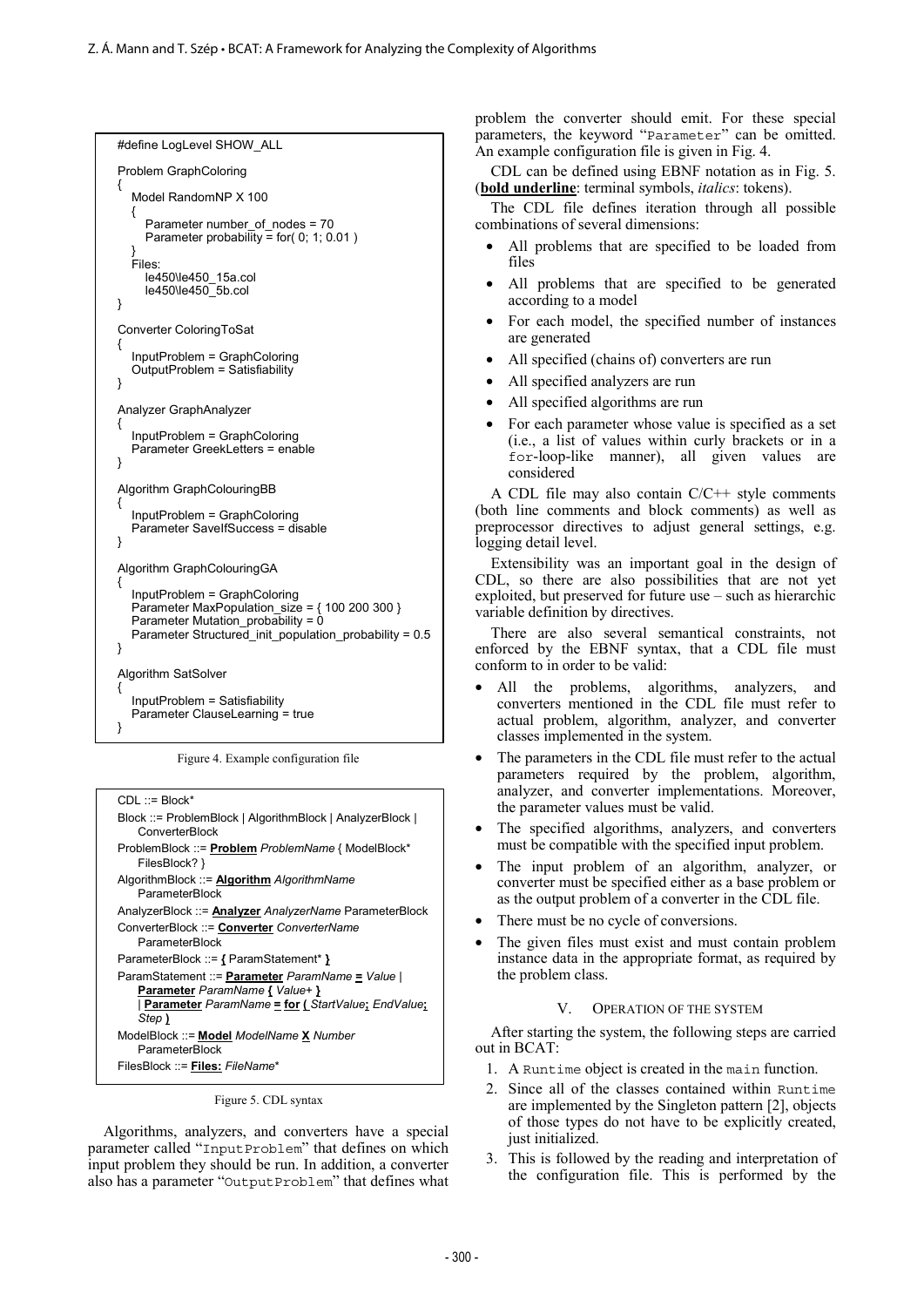```
#define LogLevel SHOW_ALL
Problem GraphColoring
{
  Model RandomNP X 100
  {
    Parameter number of nodes = 70
    Parameter probability = for(0; 1; 0.01)
  }
  Files:
    le450\le450_15a.col
    le450\le450_5b.col
}
Converter ColoringToSat
{
  InputProblem = GraphColoring
  OutputProblem = Satisfiability
}
Analyzer GraphAnalyzer
{
  InputProblem = GraphColoring
  Parameter GreekLetters = enable
}
Algorithm GraphColouringBB
{
  InputProblem = GraphColoring
  Parameter SaveIfSuccess = disable
}
Algorithm GraphColouringGA
{
  InputProblem = GraphColoring
  Parameter MaxPopulation_size = { 100 200 300 }
  Parameter Mutation probability = \dot{0}Parameter Structured_init_population_probability = 0.5
}
Algorithm SatSolver
{
  InputProblem = Satisfiability
  Parameter ClauseLearning = true
}
```
Figure 4. Example configuration file

| $CDL ::= Block*$                                                                                                                                   |
|----------------------------------------------------------------------------------------------------------------------------------------------------|
| Block ::= ProblemBlock   AlgorithmBlock   AnalyzerBlock  <br>ConverterBlock                                                                        |
| ProblemBlock ::= Problem ProblemName { ModelBlock*<br>FilesBlock? }                                                                                |
| AlgorithmBlock ::= Algorithm AlgorithmName<br>ParameterBlock                                                                                       |
| AnalyzerBlock ::= Analyzer AnalyzerName ParameterBlock                                                                                             |
| ConverterBlock ::= Converter ConverterName<br>ParameterBlock                                                                                       |
| ParameterBlock ::= { ParamStatement* }                                                                                                             |
| ParamStatement ::= Parameter ParamName = Value  <br>Parameter ParamName { Value+ }<br>  Parameter ParamName = for ( StartValue; EndValue;<br>Step) |
| ModelBlock ::= Model ModelName X Number<br>ParameterBlock                                                                                          |
| FilesBlock ::= Files: FileName*                                                                                                                    |

Figure 5. CDL syntax

Algorithms, analyzers, and converters have a special parameter called "InputProblem" that defines on which input problem they should be run. In addition, a converter also has a parameter "OutputProblem" that defines what problem the converter should emit. For these special parameters, the keyword "Parameter" can be omitted. An example configuration file is given in Fig. 4.

CDL can be defined using EBNF notation as in Fig. 5. (**bold underline**: terminal symbols, *italics*: tokens).

The CDL file defines iteration through all possible combinations of several dimensions:

- All problems that are specified to be loaded from files
- All problems that are specified to be generated according to a model
- For each model, the specified number of instances are generated
- All specified (chains of) converters are run
- All specified analyzers are run
- All specified algorithms are run
- For each parameter whose value is specified as a set (i.e., a list of values within curly brackets or in a for-loop-like manner), all given values are considered

A CDL file may also contain  $C/C++$  style comments (both line comments and block comments) as well as preprocessor directives to adjust general settings, e.g. logging detail level.

Extensibility was an important goal in the design of CDL, so there are also possibilities that are not yet exploited, but preserved for future use – such as hierarchic variable definition by directives.

There are also several semantical constraints, not enforced by the EBNF syntax, that a CDL file must conform to in order to be valid:

- All the problems, algorithms, analyzers, and converters mentioned in the CDL file must refer to actual problem, algorithm, analyzer, and converter classes implemented in the system.
- The parameters in the CDL file must refer to the actual parameters required by the problem, algorithm, analyzer, and converter implementations. Moreover, the parameter values must be valid.
- The specified algorithms, analyzers, and converters must be compatible with the specified input problem.
- The input problem of an algorithm, analyzer, or converter must be specified either as a base problem or as the output problem of a converter in the CDL file.
- There must be no cycle of conversions.
- The given files must exist and must contain problem instance data in the appropriate format, as required by the problem class.

# V. OPERATION OF THE SYSTEM

After starting the system, the following steps are carried out in BCAT:

- 1. A Runtime object is created in the main function.
- 2. Since all of the classes contained within Runtime are implemented by the Singleton pattern [2], objects of those types do not have to be explicitly created, just initialized.
- 3. This is followed by the reading and interpretation of the configuration file. This is performed by the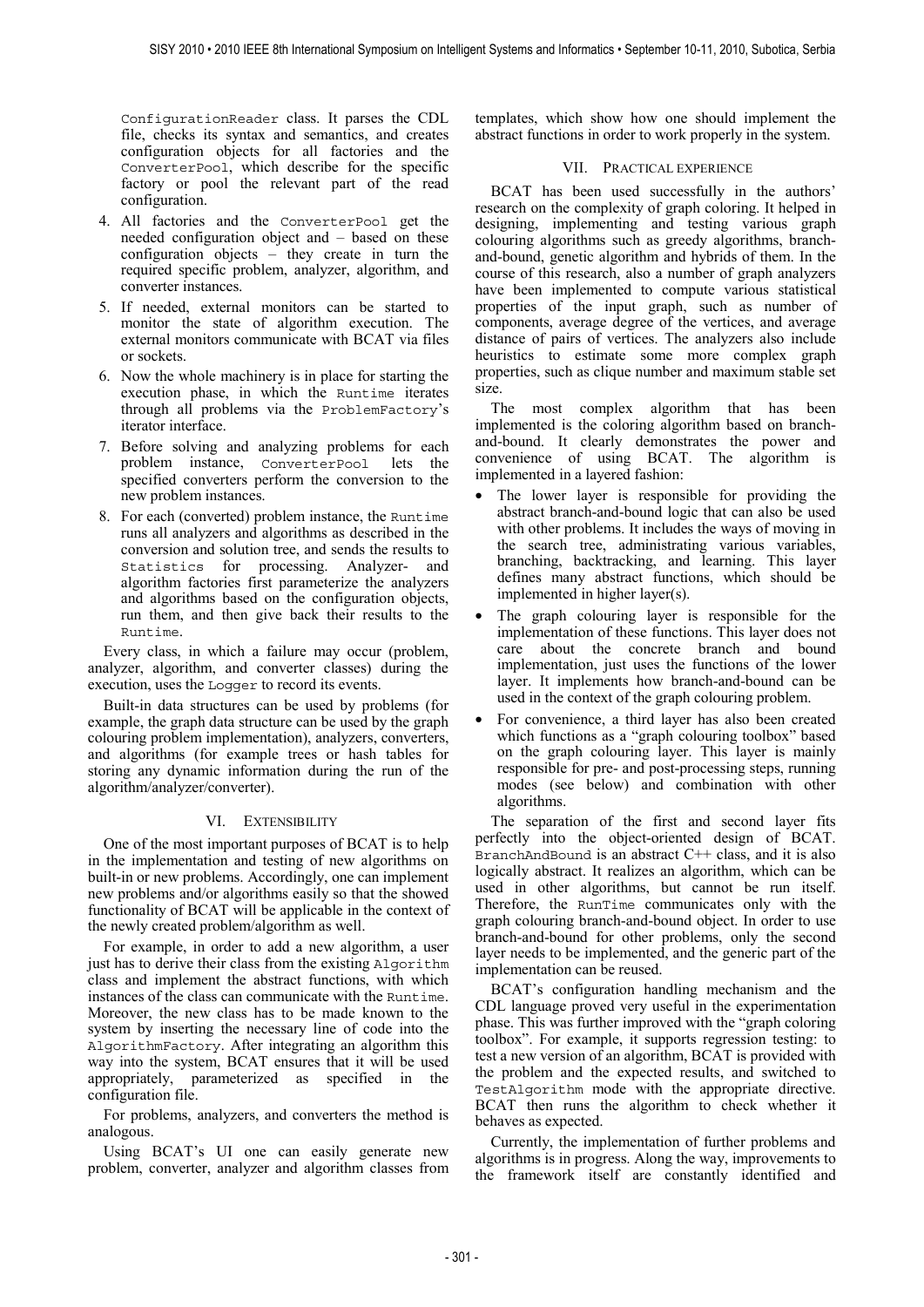ConfigurationReader class. It parses the CDL file, checks its syntax and semantics, and creates configuration objects for all factories and the ConverterPool, which describe for the specific factory or pool the relevant part of the read configuration.

- 4. All factories and the ConverterPool get the needed configuration object and – based on these configuration objects – they create in turn the required specific problem, analyzer, algorithm, and converter instances.
- 5. If needed, external monitors can be started to monitor the state of algorithm execution. The external monitors communicate with BCAT via files or sockets.
- 6. Now the whole machinery is in place for starting the execution phase, in which the Runtime iterates through all problems via the ProblemFactory's iterator interface.
- 7. Before solving and analyzing problems for each problem instance, ConverterPool lets the specified converters perform the conversion to the new problem instances.
- 8. For each (converted) problem instance, the Runtime runs all analyzers and algorithms as described in the conversion and solution tree, and sends the results to Statistics for processing. Analyzer- and algorithm factories first parameterize the analyzers and algorithms based on the configuration objects, run them, and then give back their results to the Runtime.

Every class, in which a failure may occur (problem, analyzer, algorithm, and converter classes) during the execution, uses the Logger to record its events.

Built-in data structures can be used by problems (for example, the graph data structure can be used by the graph colouring problem implementation), analyzers, converters, and algorithms (for example trees or hash tables for storing any dynamic information during the run of the algorithm/analyzer/converter).

# VI. EXTENSIBILITY

One of the most important purposes of BCAT is to help in the implementation and testing of new algorithms on built-in or new problems. Accordingly, one can implement new problems and/or algorithms easily so that the showed functionality of BCAT will be applicable in the context of the newly created problem/algorithm as well.

For example, in order to add a new algorithm, a user just has to derive their class from the existing Algorithm class and implement the abstract functions, with which instances of the class can communicate with the Runtime. Moreover, the new class has to be made known to the system by inserting the necessary line of code into the AlgorithmFactory. After integrating an algorithm this way into the system, BCAT ensures that it will be used appropriately, parameterized as specified in the configuration file.

For problems, analyzers, and converters the method is analogous.

Using BCAT's UI one can easily generate new problem, converter, analyzer and algorithm classes from templates, which show how one should implement the abstract functions in order to work properly in the system.

# VII. PRACTICAL EXPERIENCE

BCAT has been used successfully in the authors' research on the complexity of graph coloring. It helped in designing, implementing and testing various graph colouring algorithms such as greedy algorithms, branchand-bound, genetic algorithm and hybrids of them. In the course of this research, also a number of graph analyzers have been implemented to compute various statistical properties of the input graph, such as number of components, average degree of the vertices, and average distance of pairs of vertices. The analyzers also include heuristics to estimate some more complex graph properties, such as clique number and maximum stable set size.

The most complex algorithm that has been implemented is the coloring algorithm based on branchand-bound. It clearly demonstrates the power and convenience of using BCAT. The algorithm is implemented in a layered fashion:

- The lower layer is responsible for providing the abstract branch-and-bound logic that can also be used with other problems. It includes the ways of moving in the search tree, administrating various variables, branching, backtracking, and learning. This layer defines many abstract functions, which should be implemented in higher layer(s).
- The graph colouring layer is responsible for the implementation of these functions. This layer does not care about the concrete branch and bound implementation, just uses the functions of the lower layer. It implements how branch-and-bound can be used in the context of the graph colouring problem.
- For convenience, a third layer has also been created which functions as a "graph colouring toolbox" based on the graph colouring layer. This layer is mainly responsible for pre- and post-processing steps, running modes (see below) and combination with other algorithms.

The separation of the first and second layer fits perfectly into the object-oriented design of BCAT. BranchAndBound is an abstract  $C++$  class, and it is also logically abstract. It realizes an algorithm, which can be used in other algorithms, but cannot be run itself. Therefore, the RunTime communicates only with the graph colouring branch-and-bound object. In order to use branch-and-bound for other problems, only the second layer needs to be implemented, and the generic part of the implementation can be reused.

BCAT's configuration handling mechanism and the CDL language proved very useful in the experimentation phase. This was further improved with the "graph coloring toolbox". For example, it supports regression testing: to test a new version of an algorithm, BCAT is provided with the problem and the expected results, and switched to TestAlgorithm mode with the appropriate directive. BCAT then runs the algorithm to check whether it behaves as expected.

Currently, the implementation of further problems and algorithms is in progress. Along the way, improvements to the framework itself are constantly identified and